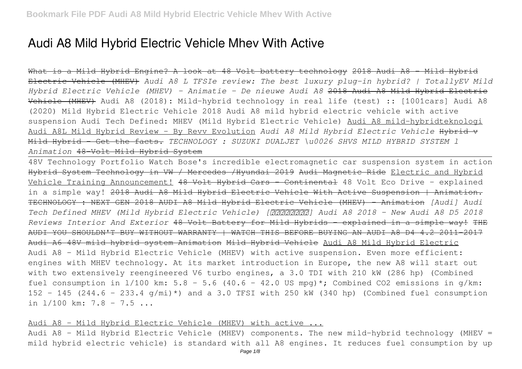# **Audi A8 Mild Hybrid Electric Vehicle Mhev With Active**

What is a Mild Hybrid Engine? A look at 48 Volt battery technology 2018 Audi A8 - Mild Hybrid Electric Vehicle (MHEV) *Audi A8 L TFSIe review: The best luxury plug-in hybrid? | TotallyEV Mild Hybrid Electric Vehicle (MHEV) - Animatie - De nieuwe Audi A8* 2018 Audi A8 Mild Hybrid Electric Vehicle (MHEV) Audi A8 (2018): Mild-hybrid technology in real life (test) :: [1001cars] Audi A8 (2020) Mild Hybrid Electric Vehicle 2018 Audi A8 mild hybrid electric vehicle with active suspension Audi Tech Defined: MHEV (Mild Hybrid Electric Vehicle) Audi A8 mild-hybridteknologi Audi A8L Mild Hybrid Review - By Revv Evolution *Audi A8 Mild Hybrid Electric Vehicle* Hybrid v Mild Hybrid - Get the facts. *TECHNOLOGY : SUZUKI DUALJET \u0026 SHVS MILD HYBRID SYSTEM l Animation* 48-Volt Mild Hybrid System

48V Technology Portfolio Watch Bose's incredible electromagnetic car suspension system in action Hybrid System Technology in VW / Mercedes /Hyundai 2019 Audi Magnetic Ride Electric and Hybrid Vehicle Training Announcement! 48 Volt Hybrid Cars - Continental 48 Volt Eco Drive - explained in a simple way! 2018 Audi A8 Mild Hybrid Electric Vehicle With Active Suspension | Animation. TECHNOLOGY : NEXT GEN 2018 AUDI A8 Mild Hybrid Electric Vehicle (MHEV) - Animation *[Audi] Audi Tech Defined MHEV (Mild Hybrid Electric Vehicle) [アウディジャパン] Audi A8 2018 - New Audi A8 D5 2018 Reviews Interior And Exterior* 48 Volt Battery for Mild Hybrids - explained in a simple way! THE AUDI YOU SHOULDN'T BUY WITHOUT WARRANTY | WATCH THIS BEFORE BUYING AN AUDI A8 D4 4.2 2011-2017 Audi A6 48V mild hybrid system Animation Mild Hybrid Vehicle Audi A8 Mild Hybrid Electric Audi A8 – Mild Hybrid Electric Vehicle (MHEV) with active suspension. Even more efficient: engines with MHEV technology. At its market introduction in Europe, the new A8 will start out with two extensively reengineered V6 turbo engines, a 3.0 TDI with 210 kW (286 hp) (Combined fuel consumption in  $1/100$  km: 5.8 - 5.6 (40.6 - 42.0 US mpq)\*; Combined CO2 emissions in q/km: 152 - 145 (244.6 - 233.4 g/mi)\*) and a 3.0 TFSI with 250 kW (340 hp) (Combined fuel consumption in l/100 km: 7.8 - 7.5 ...

Audi A8 – Mild Hybrid Electric Vehicle (MHEV) with active ...

Audi A8 – Mild Hybrid Electric Vehicle (MHEV) components. The new mild-hybrid technology (MHEV = mild hybrid electric vehicle) is standard with all A8 engines. It reduces fuel consumption by up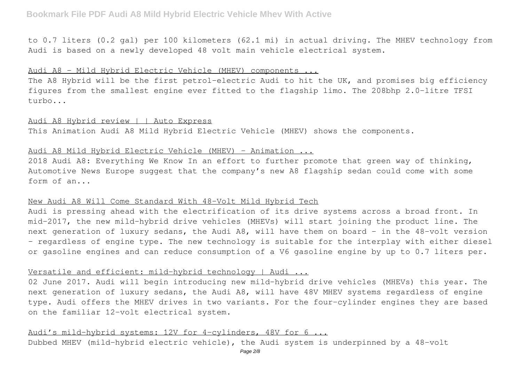to 0.7 liters (0.2 gal) per 100 kilometers (62.1 mi) in actual driving. The MHEV technology from Audi is based on a newly developed 48 volt main vehicle electrical system.

## Audi A8 – Mild Hybrid Electric Vehicle (MHEV) components ...

The A8 Hybrid will be the first petrol-electric Audi to hit the UK, and promises big efficiency figures from the smallest engine ever fitted to the flagship limo. The 208bhp 2.0-litre TFSI turbo...

## Audi A8 Hybrid review | | Auto Express

This Animation Audi A8 Mild Hybrid Electric Vehicle (MHEV) shows the components.

## Audi A8 Mild Hybrid Electric Vehicle (MHEV) - Animation ...

2018 Audi A8: Everything We Know In an effort to further promote that green way of thinking, Automotive News Europe suggest that the company's new A8 flagship sedan could come with some form of an...

## New Audi A8 Will Come Standard With 48-Volt Mild Hybrid Tech

Audi is pressing ahead with the electrification of its drive systems across a broad front. In mid-2017, the new mild-hybrid drive vehicles (MHEVs) will start joining the product line. The next generation of luxury sedans, the Audi A8, will have them on board – in the 48-volt version – regardless of engine type. The new technology is suitable for the interplay with either diesel or gasoline engines and can reduce consumption of a V6 gasoline engine by up to 0.7 liters per.

## Versatile and efficient: mild-hybrid technology | Audi ...

02 June 2017. Audi will begin introducing new mild-hybrid drive vehicles (MHEVs) this year. The next generation of luxury sedans, the Audi A8, will have 48V MHEV systems regardless of engine type. Audi offers the MHEV drives in two variants. For the four-cylinder engines they are based on the familiar 12-volt electrical system.

## Audi's mild-hybrid systems: 12V for 4-cylinders, 48V for 6 ...

Dubbed MHEV (mild-hybrid electric vehicle), the Audi system is underpinned by a 48-volt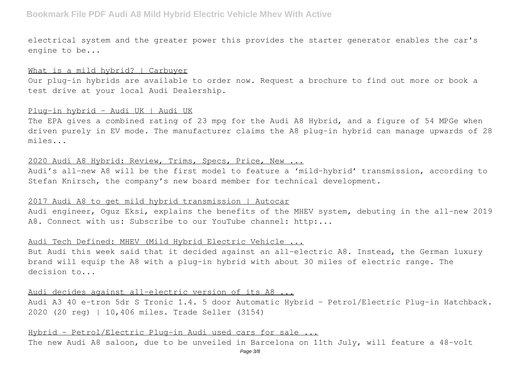## **Bookmark File PDF Audi A8 Mild Hybrid Electric Vehicle Mhev With Active**

electrical system and the greater power this provides the starter generator enables the car's engine to be...

#### What is a mild hybrid? | Carbuyer

Our plug-in hybrids are available to order now. Request a brochure to find out more or book a test drive at your local Audi Dealership.

#### Plug-in hybrid - Audi UK | Audi UK

The EPA gives a combined rating of 23 mpg for the Audi A8 Hybrid, and a figure of 54 MPGe when driven purely in EV mode. The manufacturer claims the A8 plug-in hybrid can manage upwards of 28 miles...

## 2020 Audi A8 Hybrid: Review, Trims, Specs, Price, New ...

Audi's all-new A8 will be the first model to feature a 'mild-hybrid' transmission, according to Stefan Knirsch, the company's new board member for technical development.

#### 2017 Audi A8 to get mild hybrid transmission | Autocar

Audi engineer, Oguz Eksi, explains the benefits of the MHEV system, debuting in the all-new 2019 A8. Connect with us: Subscribe to our YouTube channel: http:...

#### Audi Tech Defined: MHEV (Mild Hybrid Electric Vehicle ...

But Audi this week said that it decided against an all-electric A8. Instead, the German luxury brand will equip the A8 with a plug-in hybrid with about 30 miles of electric range. The decision to...

Audi decides against all-electric version of its A8 ... Audi A3 40 e-tron 5dr S Tronic 1.4. 5 door Automatic Hybrid – Petrol/Electric Plug-in Hatchback. 2020 (20 reg) | 10,406 miles. Trade Seller (3154)

## Hybrid – Petrol/Electric Plug-in Audi used cars for sale ...

The new Audi A8 saloon, due to be unveiled in Barcelona on 11th July, will feature a 48-volt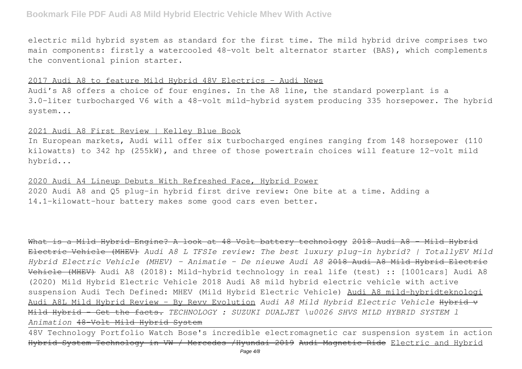## **Bookmark File PDF Audi A8 Mild Hybrid Electric Vehicle Mhev With Active**

electric mild hybrid system as standard for the first time. The mild hybrid drive comprises two main components: firstly a watercooled 48-volt belt alternator starter (BAS), which complements the conventional pinion starter.

#### 2017 Audi A8 to feature Mild Hybrid 48V Electrics – Audi News

Audi's A8 offers a choice of four engines. In the A8 line, the standard powerplant is a 3.0-liter turbocharged V6 with a 48-volt mild-hybrid system producing 335 horsepower. The hybrid system...

## 2021 Audi A8 First Review | Kelley Blue Book

In European markets, Audi will offer six turbocharged engines ranging from 148 horsepower (110 kilowatts) to 342 hp (255kW), and three of those powertrain choices will feature 12-volt mild hybrid...

2020 Audi A4 Lineup Debuts With Refreshed Face, Hybrid Power 2020 Audi A8 and Q5 plug-in hybrid first drive review: One bite at a time. Adding a 14.1-kilowatt-hour battery makes some good cars even better.

What is a Mild Hybrid Engine? A look at 48 Volt battery technology 2018 Audi A8 - Mild Hybrid Electric Vehicle (MHEV) *Audi A8 L TFSIe review: The best luxury plug-in hybrid? | TotallyEV Mild Hybrid Electric Vehicle (MHEV) - Animatie - De nieuwe Audi A8* 2018 Audi A8 Mild Hybrid Electric Vehicle (MHEV) Audi A8 (2018): Mild-hybrid technology in real life (test) :: [1001cars] Audi A8 (2020) Mild Hybrid Electric Vehicle 2018 Audi A8 mild hybrid electric vehicle with active suspension Audi Tech Defined: MHEV (Mild Hybrid Electric Vehicle) Audi A8 mild-hybridteknologi Audi A8L Mild Hybrid Review - By Revv Evolution *Audi A8 Mild Hybrid Electric Vehicle* Hybrid v Mild Hybrid - Get the facts. *TECHNOLOGY : SUZUKI DUALJET \u0026 SHVS MILD HYBRID SYSTEM l Animation* 48-Volt Mild Hybrid System

48V Technology Portfolio Watch Bose's incredible electromagnetic car suspension system in action Hybrid System Technology in VW / Mercedes /Hyundai 2019 Audi Magnetic Ride Electric and Hybrid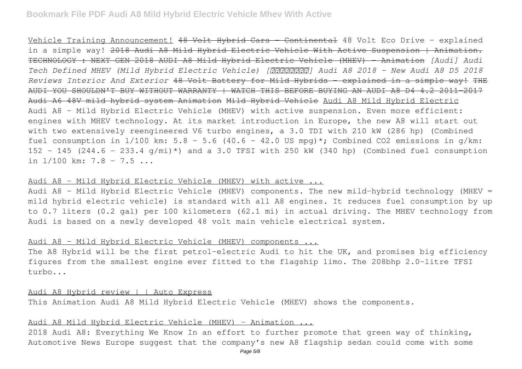Vehicle Training Announcement! 48 Volt Hybrid Cars - Continental 48 Volt Eco Drive - explained in a simple way! 2018 Audi A8 Mild Hybrid Electric Vehicle With Active Suspension | Animation. TECHNOLOGY : NEXT GEN 2018 AUDI A8 Mild Hybrid Electric Vehicle (MHEV) - Animation *[Audi] Audi Tech Defined MHEV (Mild Hybrid Electric Vehicle) [アウディジャパン] Audi A8 2018 - New Audi A8 D5 2018 Reviews Interior And Exterior* 48 Volt Battery for Mild Hybrids - explained in a simple way! THE AUDI YOU SHOULDN'T BUY WITHOUT WARRANTY | WATCH THIS BEFORE BUYING AN AUDI A8 D4 4.2 2011-2017 Audi A6 48V mild hybrid system Animation Mild Hybrid Vehicle Audi A8 Mild Hybrid Electric Audi A8 – Mild Hybrid Electric Vehicle (MHEV) with active suspension. Even more efficient: engines with MHEV technology. At its market introduction in Europe, the new A8 will start out with two extensively reengineered V6 turbo engines, a 3.0 TDI with 210 kW (286 hp) (Combined fuel consumption in  $1/100$  km: 5.8 - 5.6 (40.6 - 42.0 US mpq)\*; Combined CO2 emissions in q/km: 152 - 145 (244.6 - 233.4 g/mi)\*) and a 3.0 TFSI with 250 kW (340 hp) (Combined fuel consumption in  $1/100$  km:  $7.8 - 7.5$  ...

#### Audi A8 – Mild Hybrid Electric Vehicle (MHEV) with active ...

Audi A8 – Mild Hybrid Electric Vehicle (MHEV) components. The new mild-hybrid technology (MHEV = mild hybrid electric vehicle) is standard with all A8 engines. It reduces fuel consumption by up to 0.7 liters (0.2 gal) per 100 kilometers (62.1 mi) in actual driving. The MHEV technology from Audi is based on a newly developed 48 volt main vehicle electrical system.

#### Audi A8 – Mild Hybrid Electric Vehicle (MHEV) components ...

The A8 Hybrid will be the first petrol-electric Audi to hit the UK, and promises big efficiency figures from the smallest engine ever fitted to the flagship limo. The 208bhp 2.0-litre TFSI turbo...

Audi A8 Hybrid review | | Auto Express This Animation Audi A8 Mild Hybrid Electric Vehicle (MHEV) shows the components.

## Audi A8 Mild Hybrid Electric Vehicle (MHEV) - Animation ...

2018 Audi A8: Everything We Know In an effort to further promote that green way of thinking, Automotive News Europe suggest that the company's new A8 flagship sedan could come with some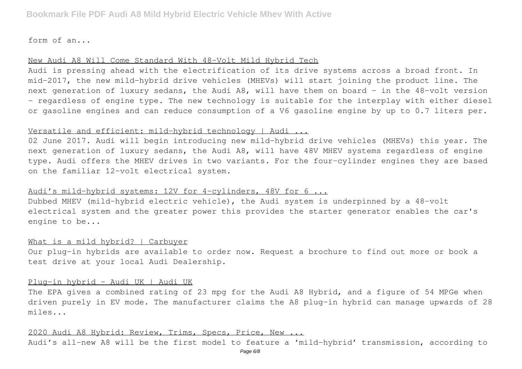form of an...

#### New Audi A8 Will Come Standard With 48-Volt Mild Hybrid Tech

Audi is pressing ahead with the electrification of its drive systems across a broad front. In mid-2017, the new mild-hybrid drive vehicles (MHEVs) will start joining the product line. The next generation of luxury sedans, the Audi A8, will have them on board – in the 48-volt version – regardless of engine type. The new technology is suitable for the interplay with either diesel or gasoline engines and can reduce consumption of a V6 gasoline engine by up to 0.7 liters per.

## Versatile and efficient: mild-hybrid technology | Audi ...

02 June 2017. Audi will begin introducing new mild-hybrid drive vehicles (MHEVs) this year. The next generation of luxury sedans, the Audi A8, will have 48V MHEV systems regardless of engine type. Audi offers the MHEV drives in two variants. For the four-cylinder engines they are based on the familiar 12-volt electrical system.

## Audi's mild-hybrid systems: 12V for 4-cylinders, 48V for 6 ...

Dubbed MHEV (mild-hybrid electric vehicle), the Audi system is underpinned by a 48-volt electrical system and the greater power this provides the starter generator enables the car's engine to be...

#### What is a mild hybrid? | Carbuyer

Our plug-in hybrids are available to order now. Request a brochure to find out more or book a test drive at your local Audi Dealership.

#### Plug-in hybrid - Audi UK | Audi UK

The EPA gives a combined rating of 23 mpg for the Audi A8 Hybrid, and a figure of 54 MPGe when driven purely in EV mode. The manufacturer claims the A8 plug-in hybrid can manage upwards of 28 miles...

## 2020 Audi A8 Hybrid: Review, Trims, Specs, Price, New ...

Audi's all-new A8 will be the first model to feature a 'mild-hybrid' transmission, according to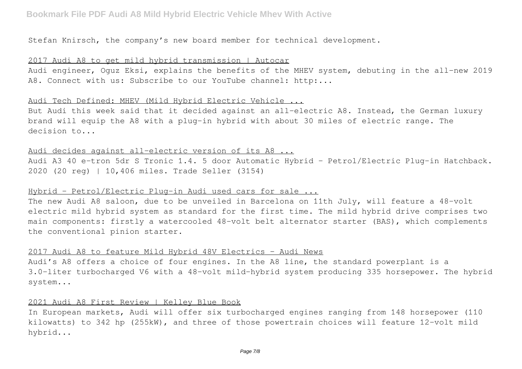Stefan Knirsch, the company's new board member for technical development.

## 2017 Audi A8 to get mild hybrid transmission | Autocar

Audi engineer, Oguz Eksi, explains the benefits of the MHEV system, debuting in the all-new 2019 A8. Connect with us: Subscribe to our YouTube channel: http:...

## Audi Tech Defined: MHEV (Mild Hybrid Electric Vehicle ...

But Audi this week said that it decided against an all-electric A8. Instead, the German luxury brand will equip the A8 with a plug-in hybrid with about 30 miles of electric range. The decision to...

## Audi decides against all-electric version of its A8 ...

Audi A3 40 e-tron 5dr S Tronic 1.4. 5 door Automatic Hybrid – Petrol/Electric Plug-in Hatchback. 2020 (20 reg) | 10,406 miles. Trade Seller (3154)

## Hybrid – Petrol/Electric Plug-in Audi used cars for sale ...

The new Audi A8 saloon, due to be unveiled in Barcelona on 11th July, will feature a 48-volt electric mild hybrid system as standard for the first time. The mild hybrid drive comprises two main components: firstly a watercooled 48-volt belt alternator starter (BAS), which complements the conventional pinion starter.

## 2017 Audi A8 to feature Mild Hybrid 48V Electrics – Audi News

Audi's A8 offers a choice of four engines. In the A8 line, the standard powerplant is a 3.0-liter turbocharged V6 with a 48-volt mild-hybrid system producing 335 horsepower. The hybrid system...

## 2021 Audi A8 First Review | Kelley Blue Book

In European markets, Audi will offer six turbocharged engines ranging from 148 horsepower (110 kilowatts) to 342 hp (255kW), and three of those powertrain choices will feature 12-volt mild hybrid...